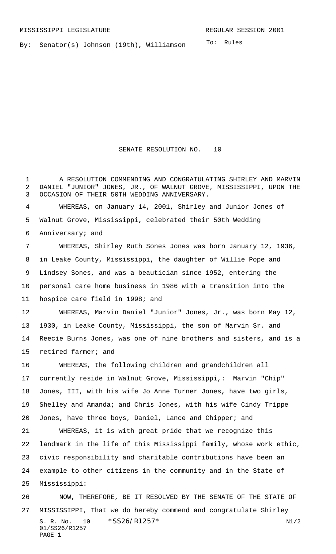By: Senator(s) Johnson (19th), Williamson

To: Rules

SENATE RESOLUTION NO. 10

1 A RESOLUTION COMMENDING AND CONGRATULATING SHIRLEY AND MARVIN DANIEL "JUNIOR" JONES, JR., OF WALNUT GROVE, MISSISSIPPI, UPON THE OCCASION OF THEIR 50TH WEDDING ANNIVERSARY.

 WHEREAS, on January 14, 2001, Shirley and Junior Jones of Walnut Grove, Mississippi, celebrated their 50th Wedding Anniversary; and

 WHEREAS, Shirley Ruth Sones Jones was born January 12, 1936, in Leake County, Mississippi, the daughter of Willie Pope and Lindsey Sones, and was a beautician since 1952, entering the personal care home business in 1986 with a transition into the hospice care field in 1998; and WHEREAS, Marvin Daniel "Junior" Jones, Jr., was born May 12,

 1930, in Leake County, Mississippi, the son of Marvin Sr. and Reecie Burns Jones, was one of nine brothers and sisters, and is a retired farmer; and

 WHEREAS, the following children and grandchildren all currently reside in Walnut Grove, Mississippi,: Marvin "Chip" Jones, III, with his wife Jo Anne Turner Jones, have two girls, Shelley and Amanda; and Chris Jones, with his wife Cindy Trippe Jones, have three boys, Daniel, Lance and Chipper; and

 WHEREAS, it is with great pride that we recognize this landmark in the life of this Mississippi family, whose work ethic, civic responsibility and charitable contributions have been an example to other citizens in the community and in the State of Mississippi:

S. R. No. 10 \* SS26/R1257\* N1/2 01/SS26/R1257 PAGE 1 NOW, THEREFORE, BE IT RESOLVED BY THE SENATE OF THE STATE OF MISSISSIPPI, That we do hereby commend and congratulate Shirley